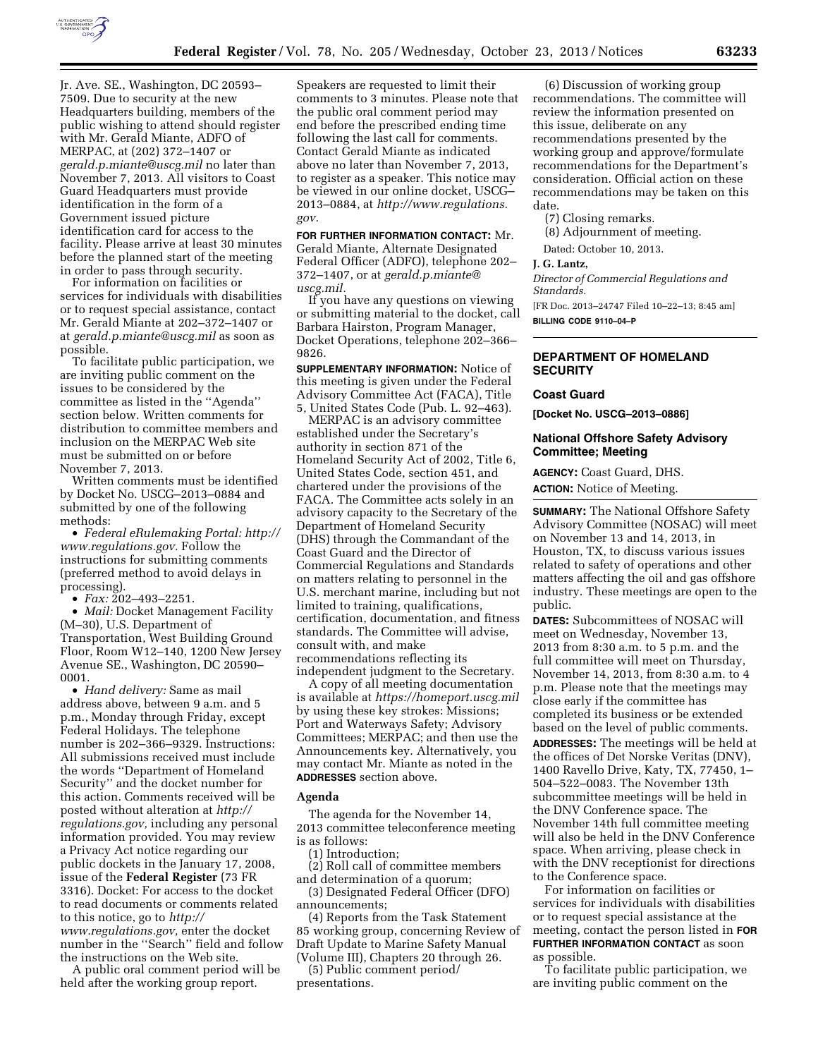

Jr. Ave. SE., Washington, DC 20593– 7509. Due to security at the new Headquarters building, members of the public wishing to attend should register with Mr. Gerald Miante, ADFO of MERPAC, at (202) 372–1407 or *[gerald.p.miante@uscg.mil](mailto:gerald.p.miante@uscg.mil)* no later than November 7, 2013. All visitors to Coast Guard Headquarters must provide identification in the form of a Government issued picture identification card for access to the facility. Please arrive at least 30 minutes before the planned start of the meeting in order to pass through security.

For information on facilities or services for individuals with disabilities or to request special assistance, contact Mr. Gerald Miante at 202–372–1407 or at *[gerald.p.miante@uscg.mil](mailto:gerald.p.miante@uscg.mil)* as soon as possible.

To facilitate public participation, we are inviting public comment on the issues to be considered by the committee as listed in the ''Agenda'' section below. Written comments for distribution to committee members and inclusion on the MERPAC Web site must be submitted on or before November 7, 2013.

Written comments must be identified by Docket No. USCG–2013–0884 and submitted by one of the following methods:

• *Federal eRulemaking Portal: [http://](http://www.regulations.gov)  [www.regulations.gov.](http://www.regulations.gov)* Follow the instructions for submitting comments (preferred method to avoid delays in processing).

• *Fax:* 202–493–2251.

• *Mail:* Docket Management Facility (M–30), U.S. Department of Transportation, West Building Ground Floor, Room W12–140, 1200 New Jersey Avenue SE., Washington, DC 20590– 0001.

• *Hand delivery:* Same as mail address above, between 9 a.m. and 5 p.m., Monday through Friday, except Federal Holidays. The telephone number is 202–366–9329. Instructions: All submissions received must include the words ''Department of Homeland Security'' and the docket number for this action. Comments received will be posted without alteration at *[http://](http://regulations.gov) [regulations.gov,](http://regulations.gov)* including any personal information provided. You may review a Privacy Act notice regarding our public dockets in the January 17, 2008, issue of the **Federal Register** (73 FR 3316). Docket: For access to the docket to read documents or comments related to this notice, go to *[http://](http://www.regulations.gov) [www.regulations.gov,](http://www.regulations.gov)* enter the docket number in the ''Search'' field and follow the instructions on the Web site.

A public oral comment period will be held after the working group report.

Speakers are requested to limit their comments to 3 minutes. Please note that the public oral comment period may end before the prescribed ending time following the last call for comments. Contact Gerald Miante as indicated above no later than November 7, 2013, to register as a speaker. This notice may be viewed in our online docket, USCG– 2013–0884, at *[http://www.regulations.](http://www.regulations.gov) [gov.](http://www.regulations.gov)* 

**FOR FURTHER INFORMATION CONTACT:** Mr. Gerald Miante, Alternate Designated Federal Officer (ADFO), telephone 202– 372–1407, or at *[gerald.p.miante@](mailto:gerald.p.miante@uscg.mil) [uscg.mil.](mailto:gerald.p.miante@uscg.mil)* 

If you have any questions on viewing or submitting material to the docket, call Barbara Hairston, Program Manager, Docket Operations, telephone 202–366– 9826.

**SUPPLEMENTARY INFORMATION:** Notice of this meeting is given under the Federal Advisory Committee Act (FACA), Title 5, United States Code (Pub. L. 92–463).

MERPAC is an advisory committee established under the Secretary's authority in section 871 of the Homeland Security Act of 2002, Title 6, United States Code, section 451, and chartered under the provisions of the FACA. The Committee acts solely in an advisory capacity to the Secretary of the Department of Homeland Security (DHS) through the Commandant of the Coast Guard and the Director of Commercial Regulations and Standards on matters relating to personnel in the U.S. merchant marine, including but not limited to training, qualifications, certification, documentation, and fitness standards. The Committee will advise, consult with, and make recommendations reflecting its independent judgment to the Secretary.

A copy of all meeting documentation is available at *<https://homeport.uscg.mil>* by using these key strokes: Missions; Port and Waterways Safety; Advisory Committees; MERPAC; and then use the Announcements key. Alternatively, you may contact Mr. Miante as noted in the **ADDRESSES** section above.

#### **Agenda**

The agenda for the November 14, 2013 committee teleconference meeting is as follows:

(1) Introduction;

(2) Roll call of committee members and determination of a quorum;

(3) Designated Federal Officer (DFO) announcements;

(4) Reports from the Task Statement 85 working group, concerning Review of Draft Update to Marine Safety Manual (Volume III), Chapters 20 through 26.

(5) Public comment period/ presentations.

(6) Discussion of working group recommendations. The committee will review the information presented on this issue, deliberate on any recommendations presented by the working group and approve/formulate recommendations for the Department's consideration. Official action on these recommendations may be taken on this date.

(7) Closing remarks.

(8) Adjournment of meeting.

Dated: October 10, 2013.

**J. G. Lantz,** 

*Director of Commercial Regulations and Standards.* 

[FR Doc. 2013–24747 Filed 10–22–13; 8:45 am] **BILLING CODE 9110–04–P** 

# **DEPARTMENT OF HOMELAND SECURITY**

# **Coast Guard**

**[Docket No. USCG–2013–0886]** 

# **National Offshore Safety Advisory Committee; Meeting**

**AGENCY:** Coast Guard, DHS.

**ACTION:** Notice of Meeting.

**SUMMARY:** The National Offshore Safety Advisory Committee (NOSAC) will meet on November 13 and 14, 2013, in Houston, TX, to discuss various issues related to safety of operations and other matters affecting the oil and gas offshore industry. These meetings are open to the public.

**DATES:** Subcommittees of NOSAC will meet on Wednesday, November 13, 2013 from 8:30 a.m. to 5 p.m. and the full committee will meet on Thursday, November 14, 2013, from 8:30 a.m. to 4 p.m. Please note that the meetings may close early if the committee has completed its business or be extended based on the level of public comments.

**ADDRESSES:** The meetings will be held at the offices of Det Norske Veritas (DNV), 1400 Ravello Drive, Katy, TX, 77450, 1– 504–522–0083. The November 13th subcommittee meetings will be held in the DNV Conference space. The November 14th full committee meeting will also be held in the DNV Conference space. When arriving, please check in with the DNV receptionist for directions to the Conference space.

For information on facilities or services for individuals with disabilities or to request special assistance at the meeting, contact the person listed in **FOR FURTHER INFORMATION CONTACT** as soon as possible.

To facilitate public participation, we are inviting public comment on the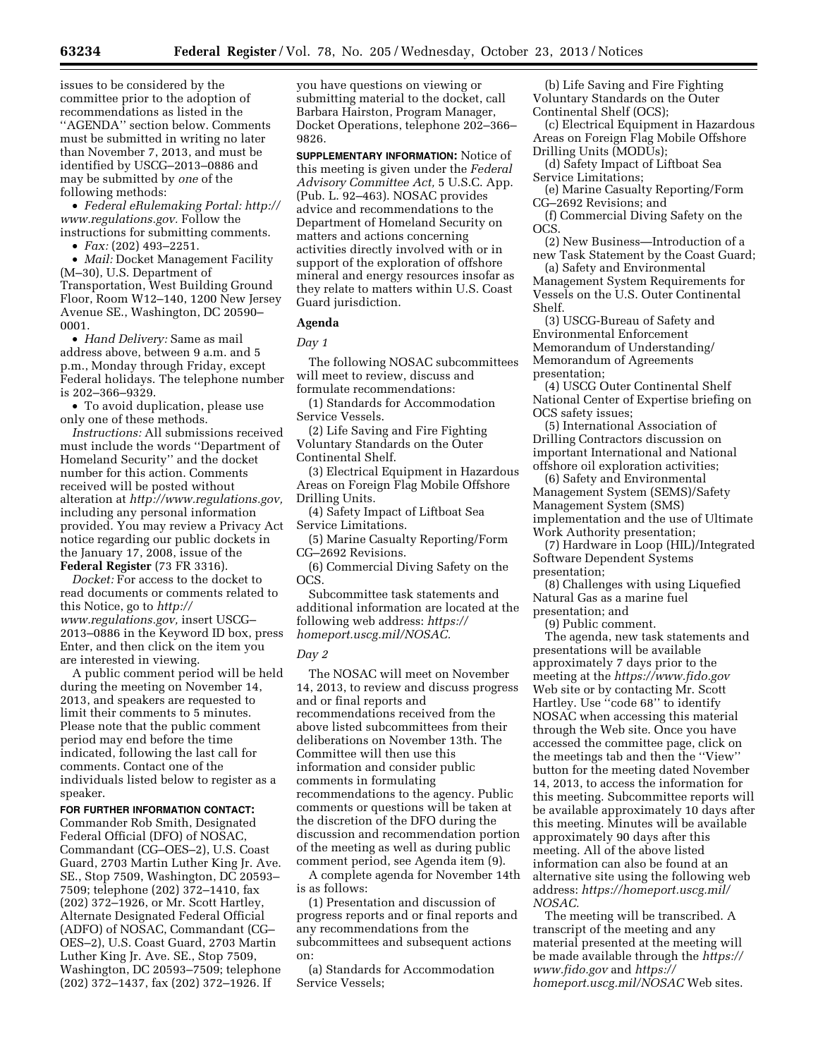issues to be considered by the committee prior to the adoption of recommendations as listed in the ''AGENDA'' section below. Comments must be submitted in writing no later than November 7, 2013, and must be identified by USCG–2013–0886 and may be submitted by *one* of the following methods:

• *Federal eRulemaking Portal: [http://](http://www.regulations.gov)  [www.regulations.gov.](http://www.regulations.gov)* Follow the instructions for submitting comments.

• *Fax:* (202) 493–2251.

• *Mail:* Docket Management Facility (M–30), U.S. Department of Transportation, West Building Ground Floor, Room W12–140, 1200 New Jersey Avenue SE., Washington, DC 20590– 0001.

• *Hand Delivery:* Same as mail address above, between 9 a.m. and 5 p.m., Monday through Friday, except Federal holidays. The telephone number is 202–366–9329.

• To avoid duplication, please use only one of these methods.

*Instructions:* All submissions received must include the words ''Department of Homeland Security'' and the docket number for this action. Comments received will be posted without alteration at *[http://www.regulations.gov,](http://www.regulations.gov)*  including any personal information provided. You may review a Privacy Act notice regarding our public dockets in the January 17, 2008, issue of the **Federal Register** (73 FR 3316).

*Docket:* For access to the docket to read documents or comments related to this Notice, go to *[http://](http://www.regulations.gov) [www.regulations.gov,](http://www.regulations.gov)* insert USCG– 2013–0886 in the Keyword ID box, press Enter, and then click on the item you are interested in viewing.

A public comment period will be held during the meeting on November 14, 2013, and speakers are requested to limit their comments to 5 minutes. Please note that the public comment period may end before the time indicated, following the last call for comments. Contact one of the individuals listed below to register as a speaker.

### **FOR FURTHER INFORMATION CONTACT:**

Commander Rob Smith, Designated Federal Official (DFO) of NOSAC, Commandant (CG–OES–2), U.S. Coast Guard, 2703 Martin Luther King Jr. Ave. SE., Stop 7509, Washington, DC 20593– 7509; telephone (202) 372–1410, fax (202) 372–1926, or Mr. Scott Hartley, Alternate Designated Federal Official (ADFO) of NOSAC, Commandant (CG– OES–2), U.S. Coast Guard, 2703 Martin Luther King Jr. Ave. SE., Stop 7509, Washington, DC 20593–7509; telephone (202) 372–1437, fax (202) 372–1926. If

you have questions on viewing or submitting material to the docket, call Barbara Hairston, Program Manager, Docket Operations, telephone 202–366– 9826.

**SUPPLEMENTARY INFORMATION:** Notice of this meeting is given under the *Federal Advisory Committee Act,* 5 U.S.C. App. (Pub. L. 92–463). NOSAC provides advice and recommendations to the Department of Homeland Security on matters and actions concerning activities directly involved with or in support of the exploration of offshore mineral and energy resources insofar as they relate to matters within U.S. Coast Guard jurisdiction.

### **Agenda**

*Day 1* 

The following NOSAC subcommittees will meet to review, discuss and formulate recommendations:

(1) Standards for Accommodation Service Vessels.

(2) Life Saving and Fire Fighting Voluntary Standards on the Outer Continental Shelf.

(3) Electrical Equipment in Hazardous Areas on Foreign Flag Mobile Offshore Drilling Units.

(4) Safety Impact of Liftboat Sea Service Limitations.

(5) Marine Casualty Reporting/Form CG–2692 Revisions.

(6) Commercial Diving Safety on the OCS.

Subcommittee task statements and additional information are located at the following web address: *[https://](https://homeport.uscg.mil/NOSAC) [homeport.uscg.mil/NOSAC.](https://homeport.uscg.mil/NOSAC)* 

#### *Day 2*

The NOSAC will meet on November 14, 2013, to review and discuss progress and or final reports and recommendations received from the above listed subcommittees from their deliberations on November 13th. The Committee will then use this information and consider public comments in formulating recommendations to the agency. Public comments or questions will be taken at the discretion of the DFO during the discussion and recommendation portion of the meeting as well as during public comment period, see Agenda item (9).

A complete agenda for November 14th is as follows:

(1) Presentation and discussion of progress reports and or final reports and any recommendations from the subcommittees and subsequent actions on:

(a) Standards for Accommodation Service Vessels;

(b) Life Saving and Fire Fighting Voluntary Standards on the Outer Continental Shelf (OCS);

(c) Electrical Equipment in Hazardous Areas on Foreign Flag Mobile Offshore Drilling Units (MODUs);

(d) Safety Impact of Liftboat Sea Service Limitations;

(e) Marine Casualty Reporting/Form CG–2692 Revisions; and

(f) Commercial Diving Safety on the OCS.

(2) New Business—Introduction of a new Task Statement by the Coast Guard;

(a) Safety and Environmental Management System Requirements for Vessels on the U.S. Outer Continental Shelf.

(3) USCG-Bureau of Safety and Environmental Enforcement Memorandum of Understanding/ Memorandum of Agreements presentation;

(4) USCG Outer Continental Shelf National Center of Expertise briefing on OCS safety issues;

(5) International Association of Drilling Contractors discussion on important International and National offshore oil exploration activities;

(6) Safety and Environmental Management System (SEMS)/Safety Management System (SMS) implementation and the use of Ultimate Work Authority presentation;

(7) Hardware in Loop (HIL)/Integrated Software Dependent Systems presentation;

(8) Challenges with using Liquefied Natural Gas as a marine fuel presentation; and

(9) Public comment.

The agenda, new task statements and presentations will be available approximately 7 days prior to the meeting at the *<https://www.fido.gov>*  Web site or by contacting Mr. Scott Hartley. Use ''code 68'' to identify NOSAC when accessing this material through the Web site. Once you have accessed the committee page, click on the meetings tab and then the ''View'' button for the meeting dated November 14, 2013, to access the information for this meeting. Subcommittee reports will be available approximately 10 days after this meeting. Minutes will be available approximately 90 days after this meeting. All of the above listed information can also be found at an alternative site using the following web address: *[https://homeport.uscg.mil/](https://homeport.uscg.mil/NOSAC) [NOSAC.](https://homeport.uscg.mil/NOSAC)* 

The meeting will be transcribed. A transcript of the meeting and any material presented at the meeting will be made available through the *[https://](https://www.fido.gov) [www.fido.gov](https://www.fido.gov)* and *[https://](https://homeport.uscg.mil/NOSAC) [homeport.uscg.mil/NOSAC](https://homeport.uscg.mil/NOSAC)* Web sites.